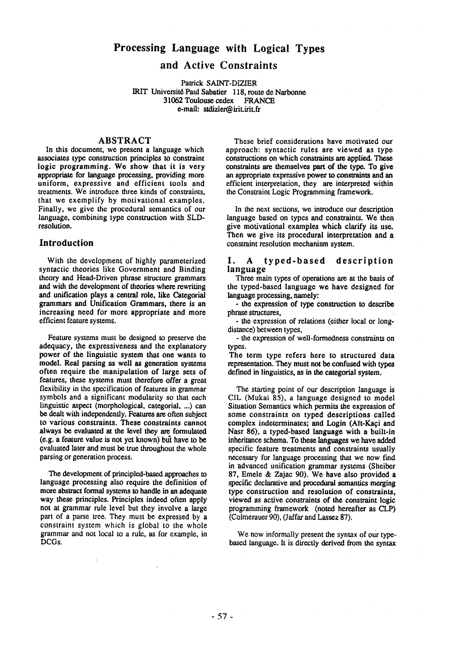# **Processing Language with Logical Types**

# **and Active Constraints**

Patrick SAINT-DIZIER IRIT Universit6 Paul Sabatier 118, route de Narbonne 31062 Toulouse cedex FRANCE e-mail: stdizier@irit.irit.fr

#### ABSTRACT

In this document, we present a language which associates type construction principles to constraint logic programming. We show that it is very appropriate for language processing, providing more uniform, expressive and efficient tools and treatments. We introduce three kinds of constraints, that we exemplify by motivational examples. Finally, we give the procedural semantics of our language, combining type construction with SLDresolution.

### **Introduction**

With the development of highly parameterized syntactic theories like Government and Binding theory and Head-Driven phrase structure grammars and with the development of theories where rewriting and unification plays a central role, like Categorial grammars and Unification Grammars, there is an increasing need for more appropriate and more efficient feature systems.

Feature systems must be designed to preserve the adequacy, the expressiveness and the explanatory power of the linguistic system that one wants to model. Real parsing as well as generation systems often require the manipulation of large sets of features, these systems must therefore offer a great flexibility in the specification of features in grammar symbols and a significant modularity so that each linguistic aspect (morphological, categorial, ...) can be dealt with independently. Features are often subject to various constraints. These constraints cannot always be evaluated at the level they are formulated  $(e.g., a feature value is not yet known) but have to be$ evaluated later and must be true throughout the whole parsing or generation process.

The development of principled-based approaches to language processing also require the definition of more abstract formal systems to handle in an adequate way these principles. Principles indeed often apply not at grammar rule level but they involve a large part of a parse tree. They must be expressed by a constraint system which is global to the whole grammar and not local to a rule, as for example, in DCGs.

These brief considerations have motivated our approach: syntactic rules are viewed as type constructions on which constraints arc applied. These constraints are themselves part of the type. To give an appropriate expressive power to constraints and an efficient interpretation, they are interpreted within the Constraint Logic Programming framework.

In the next sections, we introduce our description language based on types and constraints. We then give motivational examples which clarify its use. Then we give its procedural interpretation and a constraint resolution mechanism system.

#### 1. A typed-based description language

Three main types of operations are at the basis of the typed-based language we have designed for language processing, namely:

- the expression of type *construction to describe*  phrase structures,

- the expression of relations (either local or longdistance) between types,

- the expression of weU-formedness constraints on types.

The term type refers here to structured data representation. They must not be confused with types defined in linguistics, as in the eategorial system.

The starting point of our description language is CIL (Mukai 85), a language designed to model Situation Semantics which permits the expression of some constraints on typed descriptions called complex indeterminates; and Login (Aït-Kaçi and Nasr 86), a typed-based language with a built-in inheritance schema. To these languages we have added specific feature treatments and constraints usually necessary for language processing that we now find in advanced unification grammar systems (Sheiber 87, Emele & Zajae 90). We have also provided a specific declarative and procedural semantics merging type construction and resolution of constraints, viewed as active constraints of the constraint logic programming framework (noted hereafter as CLP) (Colmerauer 90), (Jaffar and Lassez 87).

We now informally present the syntax of our typebased language. It is directly derived from the syntax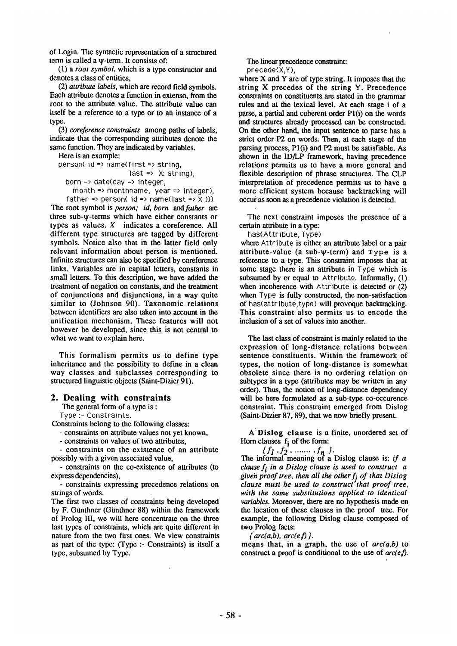of Login. The syntactic representation of a structured term is called a w-term. It consists of:

(1) a *root symbol,* which is a type constructor and denotes a class of entities.

(2) *attribute labels,* which are record field symbols. Each attribute denotes a function in extenso, from the root to the attribute value. The attribute value can itself be a reference to a type or to an instance of a type.

(3) *coreference constraints* among paths of labels, indicate that the corresponding attributes denote the same function. They are indicated by variables.

Here is an example: person( id => name(first => string, last  $\Rightarrow$  X: string), born  $\Rightarrow$  date(day  $\Rightarrow$  integer, month => monthname, year => integer),

father => person(  $id =$  name(last =>  $\chi$  ))). The root symbol is *person; id, born and father are*  three sub-w-terms which have either constants or types as values.  $X$  indicates a coreference. All different type structures are tagged by different symbols. Notice also that in the latter field only relevant information about person is mentioned. Infinite structures can also be specified by coreference links. Variables are in capital letters, constants in small letters. To this description, we have added the treatment of negation on constants, and the treatment of conjunctions and disjunctions, in a way quite similar to (Johnson 90). Taxonomic relations between identifiers are also taken into account in the unification mechanism. These features will not however be developed, since this is not central to what we want to explain here.

This formalism permits us to define type inheritance and the possibility to define in a clean way classes and subclasses corresponding to structured linguistic objects (Saint-Dizier 91).

#### **2. Dealing with constraints**

The general form of a type is :

Type :- Constraints.

Constraints belong to the following classes:

**-** constraints on attribute values not yet known,

- constraints on values of two attributes,

**-** constraints on the existence of an attribute possibly with a given associated value,

- constraints on the co-existence of attributes (to express dependencies),

**-** constraints expressing precedence relations on strings of words.

The first two classes of constraints being developed by F. Günthner (Günthner 88) within the framework of Prolog III, we will here concentrate on the three last types of constraints, which are quite different in nature from the two first ones. We view constraints as part of the type: (Type :- Constraints) is itself a type, subsumed by Type.

The linear precedence constraint: precede(X,Y),

where X and Y are of type string. It imposes that the string X precedes of the string Y. Precedence constraints on constituents are stated in the grammar rules and at the lexical level. At each stage i of a parse, a partial and coherent order Pl(i) on the words and structures already processed can be constructed. On the other hand, the input sentence to parse has a strict order P2 on words. Then, at each stage of the parsing process, Pl(i) and P2 must be satisfiable. As shown in the ID/LP framework, having precedence relations permits us to have a more general and flexible description of phrase structures. The CLP interpretation of precedence permits us to have a more efficient system because backtracking will occur as soon as a precedence violation is detected.

The next constraint imposes the presence of a certain attribute in a type:

has(Attribute, Type)

where Attribute is either an attribute label or a pair attribute-value (a sub-w-term) and Type is a reference to a type. This constraint imposes that at some stage there is an attribute in Type which is subsumed by or equal to Attribute. Informally, (1) when incoherence with Attribute is detected or (2) when Type is fully constructed, the non-satisfaction of has(attribute,type) will provoque backtracking. This constraint also permits us to encode the inclusion of a set of values into another.

The last class of constraint is mainly related to the expression of long-distance relations between sentence constituents. Within the framework of types, the notion of long-distance is somewhat obsolete since there is no ordering relation on subtypes in a type (attributes may be written in any order). Thus, the notion of long-distance dependency will be here formulated as a sub-type co-occurence constraint. This constraint emerged from Dislog (Saint-Dizier 87, 89), that we now briefly present.

A Dislog clause is a finite, unordered set of Horn clauses  $f_i$  of the form:

The informal meaning of a Dislog clause is: *if a clause f<sub>i</sub>* in a Dislog clause is used to construct a given proof tree, then all the other  $f_i$  of that Dislog *clause must be used to construct that proof tree, with the same substitutions applied to identical variables.* Moreover, there are no hypothesis made on the location of these clauses in the proof tree. For example, the following Dislog clause composed of two Prolog facts:

 $\{arc(a,b), arc(e,f)\}.$ 

means that, in a graph, the use of *arc(a,b)* to construct a proof is conditional to the use of  $arc(e<sub>i</sub>)$ .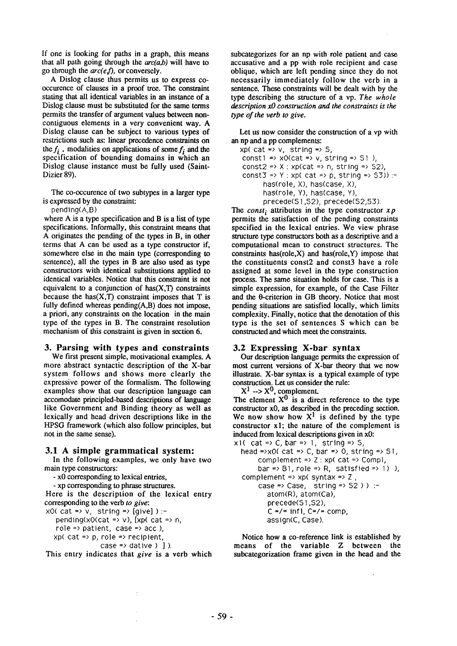If one is looking for paths in a graph, this means that all path going through the  $arc(a,b)$  will have to go through the *arc(el),* or conversely.

A Dislog clause thus permits us to express cooccurence of clauses in a proof tree. The constraint stating that all identical variables in an instance of a Dislog clause must be substituted for the same terms permits the transfer of argument values between noncontiguous elements in a very convenient way. A Dislog clause can be subject to various types of restrictions such as: linear precedence constraints on the  $f_i$ , modalities on applications of some  $f_i$  and the specification of bounding domains in which an Dislog clause instance must be fully used (Saint-Dizier 89).

The co-occurence of two subtypes in a larger type is expressed by the constraint:

pending(A,B)

where A is a type specification and B is a list of type specifications. Informally, this constraint means that A originates the pending of the types in B, in other terms that A can be used as a type constructor if, somewhere else in the main type (corresponding to sentence), all the types in B are also used as type constructors with identical substitutions applied to identical variables. Notice that this constraint is not equivalent to a conjunction of  $has(X,T)$  constraints because the has $(X, T)$  constraint imposes that T is fully defined whereas pending(A,B) does not impose, a priori, any constraints on the location in the main type of the types in B. The constraint resolution mechanism of this constraint is given in section 6.

### **3. Parsing with types and constraints**

We first present simple, motivational examples. A more abstract syntactic description of the **X-bar**  system follows and shows more clearly the expressive power of the formalism. The following examples show that our description language can accomodate principled-based descriptions of language like Government and Binding theory as well as lexically and head driven descriptions like in the HPSG framework (which also follow principles, but not in the same sense).

### **3.1 A simple grammatical system:**

In the following examples, we only have two main type constructors:

**-** x0 corresponding to lexical entries,

**-** xp corresponding to phrase structures.

Here is the description of the lexical entry corresponding to the verb *to give:* 

 $xO(cat \Rightarrow v, \text{ string} \Rightarrow [give])$ :-

pending(x0(cat => v),  $[xp($  cat => n, role => patient, case => acc),  $xp$ ( cat => p, role => recipient, case  $\Rightarrow$  dative  $)$  ]  $)$ .

This entry indicates that *give* is a verb which

subcategorizes for an np with role patient and case accusative and a pp with role recipient and case oblique, which are left pending since they do not necessarily immediately follow the verb in a sentence. These constraints will be dealt with by the type describing the structure of a vp. *The whole description xO construction and the constraints is the type of the verb to give.* 

Let us now consider the construction of a vp with an np and a pp complements:

 $xp$ ( cat => v, string => S, const1 =>  $xO(cat => v, string => S1)$ , const2 =>  $X : xp(cat = 0, string = 0.52)$ , const3 => Y : xp( cat => p, string =>  $53$ ) :has(role, X), has(case, X), has(role, Y), has(case, Y), precede(S1,S2), precede(S2,S3).

The *const*; attributes in the type constructor  $xp$ permits the satisfaction of the pending constraints specified in the lexical entries. We view phrase structure type constructors both as a descriptive and a computational mean to construct structures. The constraints has(role, $X$ ) and has(role, $Y$ ) impose that the constituents const2 and const3 have a role assigned at some level in the type construction process. The same situation holds for case. This is a simple expression, for example, of the Case Filter and the  $\theta$ -criterion in GB theory. Notice that most pending situations are satisfied locally, which limits complexity. Finally, notice that the denotation of this type is the set of sentences S which can be constructed and which meet the constraints.

### **3.2 Expressing X-bar syntax**

Our description language permits the expression of most current versions of X-bar theory that we now illustrate. X-bar syntax is a typical example of type construction. Let us consider the rule:

 $X^1 \rightarrow X^0$ , complement.

The element  $X^0$  is a direct reference to the type constructor x0, as described in the preceding section. We now show how  $X^1$  is defined by the type constructor xl; the nature of the complement is induced from lexical descriptions given in **x0:** 

x1( cat => C, bar => 1, string => S, head =>x0( cat => C, bar => 0, string => S1, complement  $\Rightarrow$  Z : xp( cat  $\Rightarrow$  Compl, bar => B1, role => R, satisfied => 1) ), complement =>  $xp$ ( syntax =>  $Z$ , case => Case, string =>  $52$ ) ) :atom(R), atom(Ca), precede(S1,S2),  $C = / = \text{inf}$ ,  $C = / = \text{comp}$ , assign(C, Case).

Notice how a co-reference link is established by means of the variable Z between the subcategorization frame given in the head and the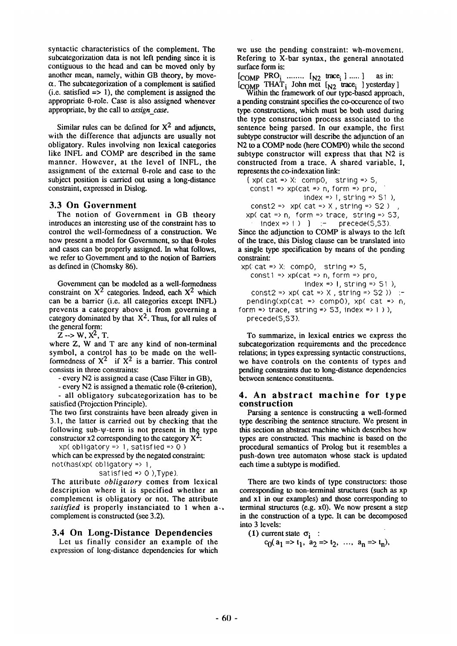syntactic characteristics of the complement. The subcategorization data is not left pending since it is contiguous to the head and can be moved only by another mean, namely, within GB theory, by move- $\alpha$ . The subcategorization of a complement is satified  $(i.e.$  satisfied  $\Rightarrow$  1), the complement is assigned the appropriate 0-role. Case is also assigned whenever appropriate, by the call to *assign\_case.* 

Similar rules can be defined for  $X^2$  and adjuncts, with the difference that adjuncts are usually not obligatory. Rules involving non lexical categories like INFL and COMP are described in the same manner. However, at the level of INFL, the assignment of the external  $\theta$ -role and case to the subject position is carried out using a long-distance constraint, expressed in Dislog.

#### **3.3** On Government

The notion of Government in GB theory introduces an interesting use of the constraint has to control the well-formedness of a construction. We now present a model for Government, so that  $\theta$ -roles and cases can be properly assigned. In what follows, we refer to Government and to the notion of Barriers as defined in (Chomsky 86).

Government can be modeled as a well-formedness constraint on  $X^2$  categories. Indeed, each  $X^2$  which can be a barrier (i.e. all categories except INFL) prevents a category above it from governing a category dominated by that  $X^2$ . Thus, for all rules of the general form:

 $Z \rightarrow W, X^2, T$ .

where Z, W and T are any kind of non-terminal symbol, a control has to be made on the wellformedness of  $X^2$  if  $X^2$  is a barrier. This control consists in three constraints:

**-** every N2 is assigned a case (Case Filter in GB),

- every N2 is assigned a thematic role ( $\theta$ -criterion), **-** all obligatory subcategorization has to be satisfied (Projection Principle).

The two first constraints have been already given in 3.1, the latter is carried out by checking that the following sub- $\psi$ -term is not present in the type constructor x2 corresponding to the category  $X^2$ :

xp( obligatory => 1, satisfied =>  $0$ ) which can be expressed by the negated constraint: not(has(xp( obligatory => 1,

satisfied => 0 ), Type).

The attribute *obligatory* comes from lexical description where it is specified whether an complement is obligatory or not. The attribute *satisfied* is properly instanciated to 1 when a... complement is constructed (see 3.2).

## **3.4 On Long-Distance Dependencies**

Let us finally consider an example of the expression of long-distance dependencies for which

we use the pending constraint: wh-movement. Refering to X-bar syntax, the general annotated surface form is:

 $[COMP$  PRO<sub>i</sub> ........  $[N2]$  trace<sub>i</sub>  $]$  .....  $]$  as in:  $[COMP]$  THAT<sub>i</sub> John met  $[N_2]$  trace<sub>i</sub> ] yesterday J

Within the framework of our type-based approach, a pending constraint specifies the co-occurence of two type constructions, which must be both used during the type construction process associated to the sentence being parsed. In our example, the first subtype constructor will describe the adjunction of an N2 to a COMP node (here COMP0) while the second subtype constructor will express that that N2 is constructed from a trace. A shared variable, I, represents the co-indexation link:

 $\{ xp(\ cat \Rightarrow X:\ comp0, \ string \Rightarrow S,$  $const1 \Rightarrow$  xp(cat => n, form => pro, index =>  $\vert$ , string =>  $\vert$   $\vert$ ), const2 =>  $xp$ (cat => X, string => S2) xp(cat => n, form => trace, string =>  $53$ ,  $index = 1$  ) ] :- precede(5,53).

Since the adjunction to COMP is always to the left of the trace, this Dislog clause can be translated into a single type specification by means of the pending constraint:

 $xp$ ( $cat \Rightarrow X: comp$ 0, string => S, const1  $\Rightarrow$  xp(cat  $\Rightarrow$  n, form  $\Rightarrow$  pro, index  $\Rightarrow$  1, string  $\Rightarrow$  S1), const2 => xp( cat => X, string =>  $52$  )) :pending(xp(cat => comp0), xp( cat =>  $n$ , form  $\Rightarrow$  trace, string  $\Rightarrow$  53, index  $\Rightarrow$  1), precede(S,S3).

To summarize, in lexical entries we express the subcategorization requirements and the precedence relations; in types expressing syntactic constructions, we have controls on the contents of types and pending constraints due to long-distance dependencies between sentence constituents.

#### **4. An abstract machine for type construction**

Parsing a sentence is constructing a well-formed type describing the sentence structure. We present in this section an abstract machine which describes how types are constructed. This machine is based on the procedural semantics of Prolog but it resembles a push-down tree automaton whose stack is updated each time a subtype is modified.

There are two kinds of type constructors: those corresponding to non-terminal structures (such as xp and xl in our examples) and those corresponding to terminal structures (e.g. x0). We now present a step in the construction of a type. It can be decomposed into 3 levels:

(1) current state 
$$
\sigma_i
$$
 :  
  $c_0(a_1 \Rightarrow t_1, a_2 \Rightarrow t_2, ..., a_n \Rightarrow t_n)$ ,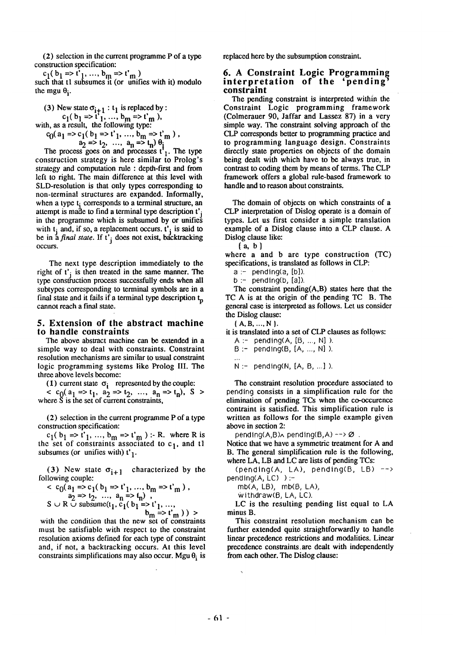(2) selection in the current programme P of a type construction specification:

 $c_1$ (  $b_1$  =>  $c_1$ , ...,  $b_m$  =>  $c_m$  ) such that tl subsumes it (or unifies with it) modulo the mgu  $\theta_i$ .

(3) New state  $\sigma_{i+1} : t_1$  is replaced by :  $c_1$ (  $b_1$  =>  $c_1$ , ...,  $b_m$  =>  $c_m$  ), with, as a result, the following type:  $c_0$ ( $a_1$  => $c_1$ ( $b_1$  => $c_1'$ , ...,  $b_m$  => $c_m$ ),  $a_2 \Rightarrow a_2, \ldots, a_n \Rightarrow b_n$ 

The process goes on and processes  $t<sub>1</sub>$ . The type construction strategy is here similar to Prolog's strategy and computation rule : depth-first and from left to right. The main difference at this level with SLD-resolution is that only types corresponding to non-terminal structures are expanded. Informally, when a type  $t_i$  corresponds to a terminal structure, an attempt is made to find a terminal type description  $t'$ ; in the programme which is subsumed by or unifies with  $t_i$  and, if so, a replacement occurs.  $t'_i$  is said to be in a *final state.* If t'j does not exist, backtracking occurs.

The next type description immediately to the right of  $t_i$  is then treated in the same manner. The type construction process successfully ends when all subtypes corresponding to terminal symbols are in a final state and it fails if a terminal type description  $t_p$ cannot reach a final state.

#### **5. Extension of the abstract machine**  to handle constraints

The above abstract machine can be extended in a simple way to deal with constraints. Constraint resolution mechanisms are similar to usual constraint logic programming systems like Prolog III. The three above levels become:

(1) current state  $\sigma_i$  represented by the couple:  $<$  c<sub>0</sub>(a<sub>1</sub> =>t<sub>1</sub>, a<sub>2</sub> =>t<sub>2</sub>, ..., a<sub>n</sub> =>t<sub>n</sub>), S > where  $\check{S}$  is the set of current constraints,

(2) selection in the current programme P of a type construction specification:

 $c_1(b_1 \Rightarrow t'_1, ..., b_m \Rightarrow t'_m) : R$ , where R is the set of constraints associated to  $c_1$ , and tl subsumes (or unifies with)  $t'_1$ .

(3) New state  $\sigma_{i+1}$  characterized by the following couple:

$$
\begin{aligned}\n& < c_0(a_1 \Rightarrow c_1(b_1 \Rightarrow t_1, \dots, b_m \Rightarrow t_m), \\
& a_2 \Rightarrow t_2, \dots, a_n \Rightarrow t_n, \\
& < R \cup \text{subsum}(t_1, c_1(b_1 \Rightarrow t_1, \dots, b_m \Rightarrow t_m)) \\
& > \end{aligned}
$$

with the condition that the new set of constraints must be satisfiable with respect to the constraint resolution axioms defined for each type of constraint and, if not, a backtracking occurs. At this level constraints simplifications may also occur. Mgu  $\theta_i$  is

replaced here by the subsumption constraint.

### 6. A Constraint Logic Programming interpretation of the 'pending' constraint

The pending constraint is interpreted within the Constraint Logic programming framework (Colmerauer 90, Jaffar and Lassez 87) in a very simple way. The constraint solving approach of the CLP corresponds better to programming practice and to programming language design. Constraints directly state properties on objects of the domain being dealt with which have to be always true, in contrast to coding them by means of terms. The CLP framework offers a global rule-based framework to handle and to reason about constraints.

The domain of objects on which constraints of a CLP interpretation of Dislog operate is a domain of types. Let us first consider a simple translation example of a Dislog clause into a CLP clause. A Dislog clause like:

 ${a, b}$ 

where a and b are type construction (TC) specifications, is translated as follows in CLP:

- $a -$  pending(a, [b]).
- $b :=$  pending(b, [a]).

The constraint pending(A,B) states here that the TC A is at the origin of the pending TC B. The general case is interpreted as follows. Let us consider the Dislog clause:

**{A.B ..... N}.** 

it is translated into a set of CLP clauses as follows:

 $A :=$  pending(A,  $[B, ..., N]$ ).  $B :=$  pending(B,  $[A, ..., N]$ ).  $N :=$  pending(N, [A, B, ...]).

The constraint resolution procedure associated to pending consists in a simplification rule for the elimination of pending TCs when the co-occurence contraint is satisfied. This simplification rule is written as follows for the simple example given above in section 2:

 $pending(A,B) \wedge pending(B,A) \longrightarrow \emptyset$ .

Notice that we have a symmetric treatment for A and B. The general simplification rule is the following, where LA, LB and LC are lists of pending TCs:

(pending(A, LA), pending(B, LB) -->  $pending(A, LC)$  ) :-

 $mb(A, LB)$ ,  $mb(B, LA)$ ,

Withdraw(B, LA, LC).

LC is the resulting pending list equal to LA minus B.

This constraint resolution mechanism can be further extended quite straightforwardly to handle linear precedence restrictions and modalities. Linear precedence constraints.are dealt with independently from each other. The Dislog clause: